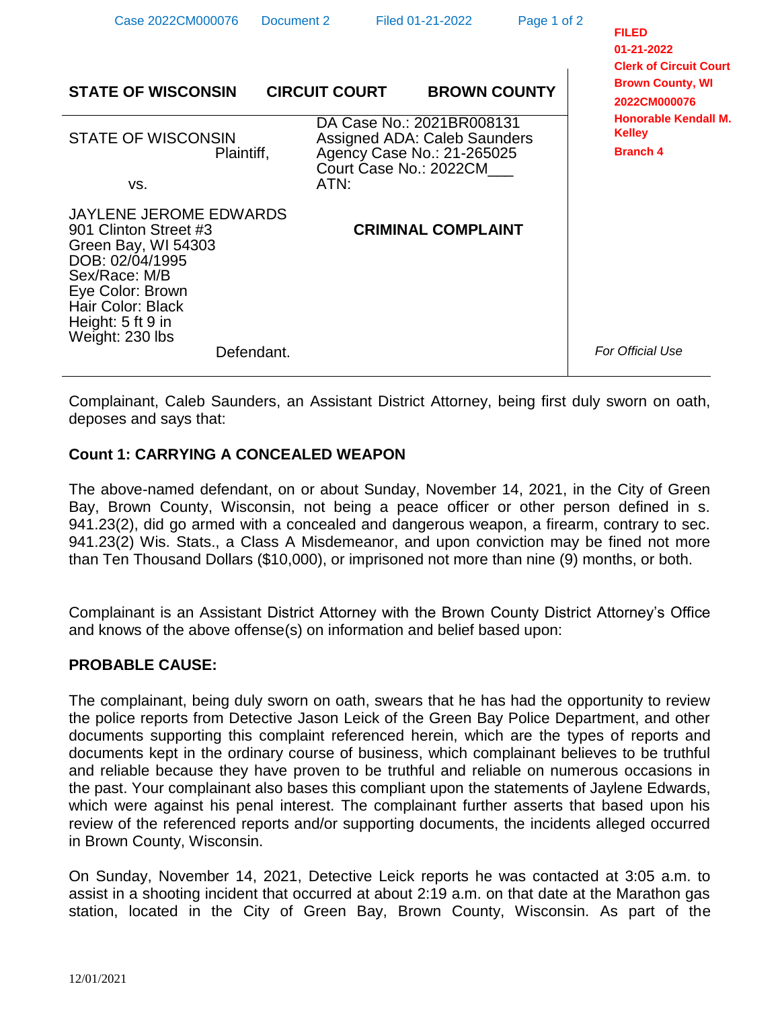| Case 2022CM000076                                                                                                                                                                                  | Document 2           | Filed 01-21-2022                                                                                                         | Page 1 of 2 | <b>FILED</b><br>01-21-2022<br><b>Clerk of Circuit Court</b>     |
|----------------------------------------------------------------------------------------------------------------------------------------------------------------------------------------------------|----------------------|--------------------------------------------------------------------------------------------------------------------------|-------------|-----------------------------------------------------------------|
| <b>STATE OF WISCONSIN</b>                                                                                                                                                                          | <b>CIRCUIT COURT</b> | <b>BROWN COUNTY</b>                                                                                                      |             | <b>Brown County, WI</b><br>2022CM000076                         |
| <b>STATE OF WISCONSIN</b><br>Plaintiff,                                                                                                                                                            |                      | DA Case No.: 2021BR008131<br><b>Assigned ADA: Caleb Saunders</b><br>Agency Case No.: 21-265025<br>Court Case No.: 2022CM |             | <b>Honorable Kendall M.</b><br><b>Kelley</b><br><b>Branch 4</b> |
| VS.                                                                                                                                                                                                | ATN:                 |                                                                                                                          |             |                                                                 |
| <b>JAYLENE JEROME EDWARDS</b><br>901 Clinton Street #3<br>Green Bay, WI 54303<br>DOB: 02/04/1995<br>Sex/Race: M/B<br>Eye Color: Brown<br>Hair Color: Black<br>Height: 5 ft 9 in<br>Weight: 230 lbs |                      | <b>CRIMINAL COMPLAINT</b>                                                                                                |             |                                                                 |
| Defendant.                                                                                                                                                                                         |                      |                                                                                                                          |             | <b>For Official Use</b>                                         |

Complainant, Caleb Saunders, an Assistant District Attorney, being first duly sworn on oath, deposes and says that:

## **Count 1: CARRYING A CONCEALED WEAPON**

The above-named defendant, on or about Sunday, November 14, 2021, in the City of Green Bay, Brown County, Wisconsin, not being a peace officer or other person defined in s. 941.23(2), did go armed with a concealed and dangerous weapon, a firearm, contrary to sec. 941.23(2) Wis. Stats., a Class A Misdemeanor, and upon conviction may be fined not more than Ten Thousand Dollars (\$10,000), or imprisoned not more than nine (9) months, or both.

Complainant is an Assistant District Attorney with the Brown County District Attorney's Office and knows of the above offense(s) on information and belief based upon:

## **PROBABLE CAUSE:**

The complainant, being duly sworn on oath, swears that he has had the opportunity to review the police reports from Detective Jason Leick of the Green Bay Police Department, and other documents supporting this complaint referenced herein, which are the types of reports and documents kept in the ordinary course of business, which complainant believes to be truthful and reliable because they have proven to be truthful and reliable on numerous occasions in the past. Your complainant also bases this compliant upon the statements of Jaylene Edwards, which were against his penal interest. The complainant further asserts that based upon his review of the referenced reports and/or supporting documents, the incidents alleged occurred in Brown County, Wisconsin.

On Sunday, November 14, 2021, Detective Leick reports he was contacted at 3:05 a.m. to assist in a shooting incident that occurred at about 2:19 a.m. on that date at the Marathon gas station, located in the City of Green Bay, Brown County, Wisconsin. As part of the